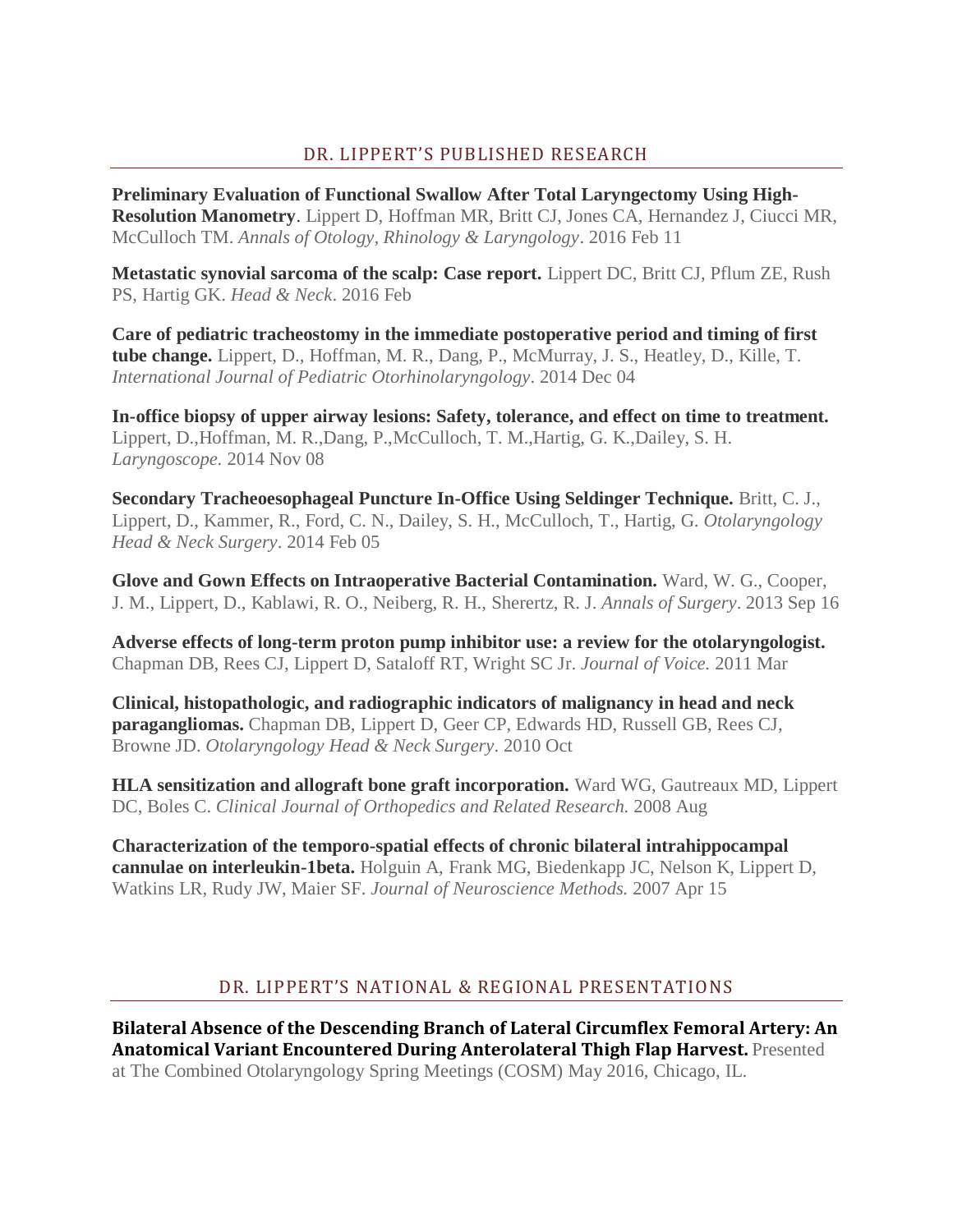## DR. LIPPERT'S PUBLISHED RESEARCH

**[Preliminary Evaluation of Functional Swallow After Total Laryngectomy Using High-](https://www.ncbi.nlm.nih.gov/pubmed/26868604)[Resolution Manometry](https://www.ncbi.nlm.nih.gov/pubmed/26868604)**. Lippert D, Hoffman MR, Britt CJ, Jones CA, Hernandez J, Ciucci MR, McCulloch TM. *Annals of Otology, Rhinology & Laryngology*. 2016 Feb 11

**[Metastatic synovial sarcoma of the scalp: Case report.](https://www.doximity.com/doc_news/v2/entries/1740341?clicked=true&position=2&source=profile_publications)** Lippert DC, Britt CJ, Pflum ZE, Rush PS, Hartig GK. *Head & Neck*. 2016 Feb

**[Care of pediatric tracheostomy in the immediate postoperative period and timing of first](https://www.doximity.com/doc_news/v2/entries/1558840?clicked=true&position=3&source=profile_publications)  [tube change.](https://www.doximity.com/doc_news/v2/entries/1558840?clicked=true&position=3&source=profile_publications)** Lippert, D., Hoffman, M. R., Dang, P., McMurray, J. S., Heatley, D., Kille, T. *International Journal of Pediatric Otorhinolaryngology*. 2014 Dec 04

**[In-office biopsy of upper airway lesions: Safety, tolerance, and effect on time to treatment.](https://www.doximity.com/doc_news/v2/entries/1544329?clicked=true&position=4&source=profile_publications)** Lippert, D.,Hoffman, M. R.,Dang, P.,McCulloch, T. M.,Hartig, G. K.,Dailey, S. H. *Laryngoscope.* 2014 Nov 08

**[Secondary Tracheoesophageal Puncture In-Office Using Seldinger Technique.](https://www.ncbi.nlm.nih.gov/pubmed/24493788)** Britt, C. J., Lippert, D., Kammer, R., Ford, C. N., Dailey, S. H., McCulloch, T., Hartig, G. *Otolaryngology Head & Neck Surgery*. 2014 Feb 05

**[Glove and Gown Effects on Intraoperative Bacterial Contamination.](https://www.doximity.com/doc_news/v2/entries/769733?clicked=true&position=6&source=profile_publications)** Ward, W. G., Cooper, J. M., Lippert, D., Kablawi, R. O., Neiberg, R. H., Sherertz, R. J. *Annals of Surgery*. 2013 Sep 16

**[Adverse effects of long-term proton pump inhibitor use: a review for the otolaryngologist.](https://www.ncbi.nlm.nih.gov/pubmed/20144536)** Chapman DB, Rees CJ, Lippert D, Sataloff RT, Wright SC Jr. *Journal of Voice.* 2011 Mar

**[Clinical, histopathologic, and radiographic indicators of malignancy in head and neck](https://www.ncbi.nlm.nih.gov/pubmed/20869564)  [paragangliomas.](https://www.ncbi.nlm.nih.gov/pubmed/20869564)** Chapman DB, Lippert D, Geer CP, Edwards HD, Russell GB, Rees CJ, Browne JD. *Otolaryngology Head & Neck Surgery*. 2010 Oct

**[HLA sensitization and allograft bone graft incorporation.](https://www.doximity.com/doc_news/v2/entries/586807?clicked=true&position=9&source=profile_publications)** Ward WG, Gautreaux MD, Lippert DC, Boles C. *Clinical Journal of Orthopedics and Related Research.* 2008 Aug

**[Characterization of the temporo-spatial effects of chronic bilateral intrahippocampal](https://www.ncbi.nlm.nih.gov/pubmed/17241670)  [cannulae on interleukin-1beta.](https://www.ncbi.nlm.nih.gov/pubmed/17241670)** Holguin A, Frank MG, Biedenkapp JC, Nelson K, Lippert D, Watkins LR, Rudy JW, Maier SF. *Journal of Neuroscience Methods.* 2007 Apr 15

## DR. LIPPERT'S NATIONAL & REGIONAL PRESENTATIONS

**Bilateral Absence of the Descending Branch of Lateral Circumflex Femoral Artery: An Anatomical Variant Encountered During Anterolateral Thigh Flap Harvest.** Presented at The Combined Otolaryngology Spring Meetings (COSM) May 2016, Chicago, IL.